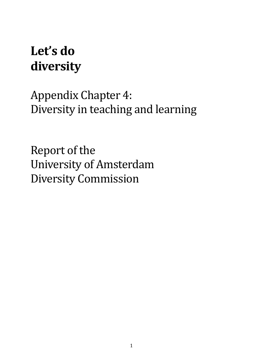## **Let's do diversity**

Appendix Chapter 4: Diversity in teaching and learning

Report of the University of Amsterdam Diversity Commission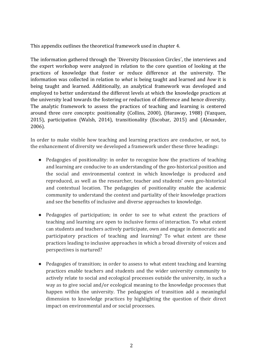This appendix outlines the theoretical framework used in chapter 4.

The information gathered through the ´Diversity Discussion Circles´, the interviews and the expert workshop were analyzed in relation to the core question of looking at the practices of knowledge that foster or reduce difference at the university. The information was collected in relation to *what* is being taught and learned and *how* it is being taught and learned. Additionally, an analytical framework was developed and employed to better understand the different levels at which the knowledge practices at the university lead towards the fostering or reduction of difference and hence diversity. The analytic framework to assess the practices of teaching and learning is centered around three core concepts: positionality (Collins, 2000), (Haraway, 1988) (Vazquez, 2015), participation (Walsh, 2014), transitionality (Escobar, 2015) and (Alexander, 2006).

In order to make visible how teaching and learning practices are conducive, or not, to the enhancement of diversity we developed a framework under these three headings:

- Pedagogies of positionality: in order to recognize how the practices of teaching and learning are conducive to an understanding of the geo-historical position and the social and environmental context in which knowledge is produced and reproduced, as well as the researcher, teacher and students' own geo-historical and contextual location. The pedagogies of positionality enable the academic community to understand the context and partiality of their knowledge practices and see the benefits of inclusive and diverse approaches to knowledge.
- Pedagogies of participation; in order to see to what extent the practices of teaching and learning are open to inclusive forms of interaction. To what extent can students and teachers actively participate, own and engage in democratic and participatory practices of teaching and learning? To what extent are these practices leading to inclusive approaches in which a broad diversity of voices and perspectives is nurtured?
- Pedagogies of transition; in order to assess to what extent teaching and learning practices enable teachers and students and the wider university community to actively relate to social and ecological processes outside the university, in such a way as to give social and/or ecological meaning to the knowledge processes that happen within the university. The pedagogies of transition add a meaningful dimension to knowledge practices by highlighting the question of their direct impact on environmental and or social processes.